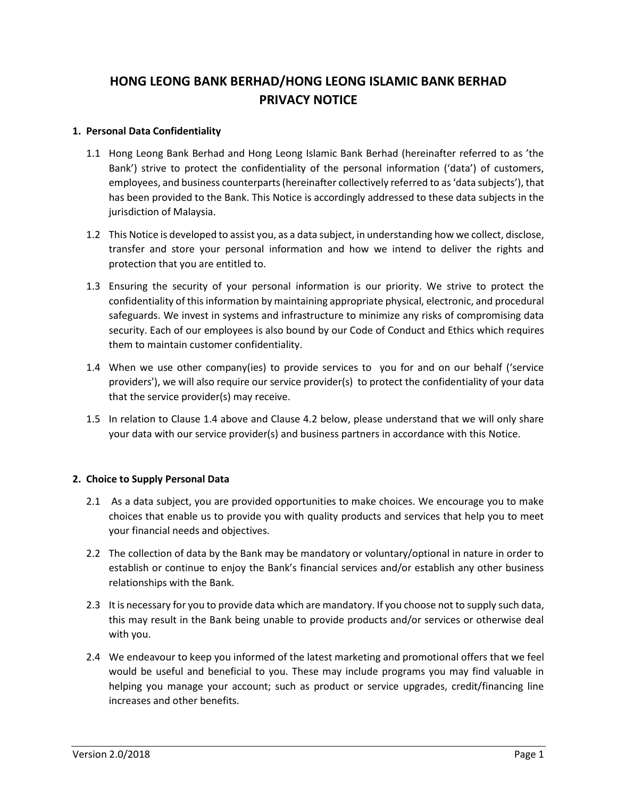# **HONG LEONG BANK BERHAD/HONG LEONG ISLAMIC BANK BERHAD PRIVACY NOTICE**

#### **1. Personal Data Confidentiality**

- 1.1 Hong Leong Bank Berhad and Hong Leong Islamic Bank Berhad (hereinafter referred to as 'the Bank') strive to protect the confidentiality of the personal information ('data') of customers, employees, and business counterparts (hereinafter collectively referred to as 'data subjects'), that has been provided to the Bank. This Notice is accordingly addressed to these data subjects in the jurisdiction of Malaysia.
- 1.2 This Notice is developed to assist you, as a data subject, in understanding how we collect, disclose, transfer and store your personal information and how we intend to deliver the rights and protection that you are entitled to.
- 1.3 Ensuring the security of your personal information is our priority. We strive to protect the confidentiality of this information by maintaining appropriate physical, electronic, and procedural safeguards. We invest in systems and infrastructure to minimize any risks of compromising data security. Each of our employees is also bound by our Code of Conduct and Ethics which requires them to maintain customer confidentiality.
- 1.4 When we use other company(ies) to provide services to you for and on our behalf ('service providers'), we will also require our service provider(s) to protect the confidentiality of your data that the service provider(s) may receive.
- 1.5 In relation to Clause 1.4 above and Clause 4.2 below, please understand that we will only share your data with our service provider(s) and business partners in accordance with this Notice.

# **2. Choice to Supply Personal Data**

- 2.1 As a data subject, you are provided opportunities to make choices. We encourage you to make choices that enable us to provide you with quality products and services that help you to meet your financial needs and objectives.
- 2.2 The collection of data by the Bank may be mandatory or voluntary/optional in nature in order to establish or continue to enjoy the Bank's financial services and/or establish any other business relationships with the Bank.
- 2.3 It is necessary for you to provide data which are mandatory. If you choose not to supply such data, this may result in the Bank being unable to provide products and/or services or otherwise deal with you.
- 2.4 We endeavour to keep you informed of the latest marketing and promotional offers that we feel would be useful and beneficial to you. These may include programs you may find valuable in helping you manage your account; such as product or service upgrades, credit/financing line increases and other benefits.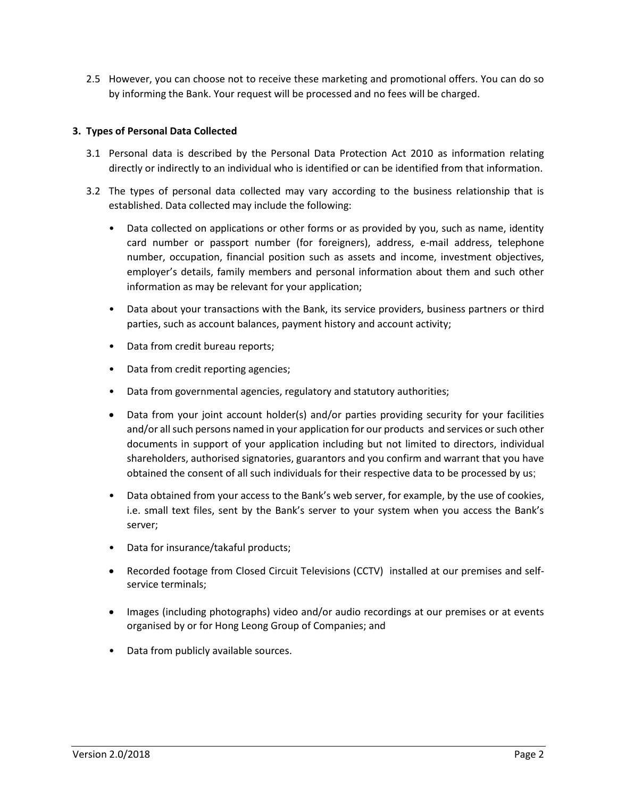2.5 However, you can choose not to receive these marketing and promotional offers. You can do so by informing the Bank. Your request will be processed and no fees will be charged.

## **3. Types of Personal Data Collected**

- 3.1 Personal data is described by the Personal Data Protection Act 2010 as information relating directly or indirectly to an individual who is identified or can be identified from that information.
- 3.2 The types of personal data collected may vary according to the business relationship that is established. Data collected may include the following:
	- Data collected on applications or other forms or as provided by you, such as name, identity card number or passport number (for foreigners), address, e-mail address, telephone number, occupation, financial position such as assets and income, investment objectives, employer's details, family members and personal information about them and such other information as may be relevant for your application;
	- Data about your transactions with the Bank, its service providers, business partners or third parties, such as account balances, payment history and account activity;
	- Data from credit bureau reports;
	- Data from credit reporting agencies;
	- Data from governmental agencies, regulatory and statutory authorities;
	- Data from your joint account holder(s) and/or parties providing security for your facilities and/or all such persons named in your application for our products and services or such other documents in support of your application including but not limited to directors, individual shareholders, authorised signatories, guarantors and you confirm and warrant that you have obtained the consent of all such individuals for their respective data to be processed by us;
	- Data obtained from your access to the Bank's web server, for example, by the use of cookies, i.e. small text files, sent by the Bank's server to your system when you access the Bank's server;
	- Data for insurance/takaful products;
	- Recorded footage from Closed Circuit Televisions (CCTV) installed at our premises and selfservice terminals;
	- Images (including photographs) video and/or audio recordings at our premises or at events organised by or for Hong Leong Group of Companies; and
	- Data from publicly available sources.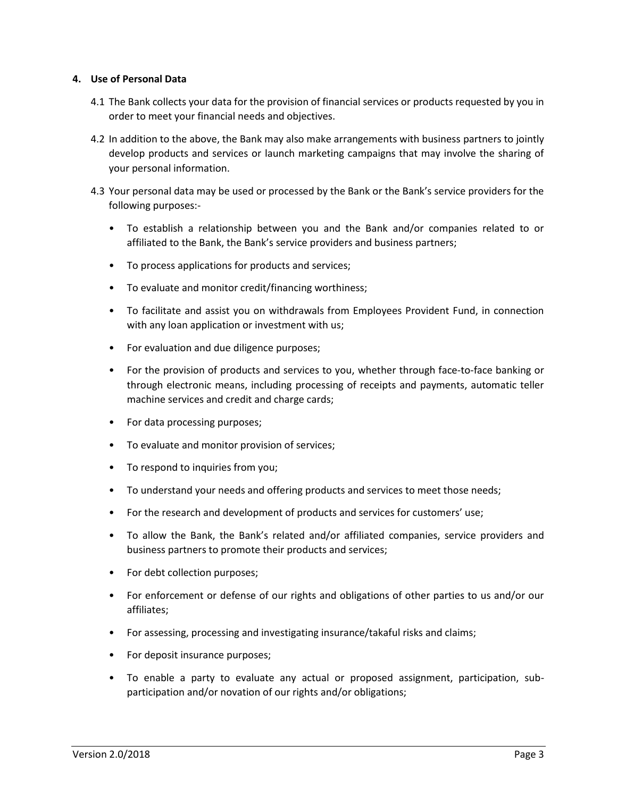#### **4. Use of Personal Data**

- 4.1 The Bank collects your data for the provision of financial services or products requested by you in order to meet your financial needs and objectives.
- 4.2 In addition to the above, the Bank may also make arrangements with business partners to jointly develop products and services or launch marketing campaigns that may involve the sharing of your personal information.
- 4.3 Your personal data may be used or processed by the Bank or the Bank's service providers for the following purposes:-
	- To establish a relationship between you and the Bank and/or companies related to or affiliated to the Bank, the Bank's service providers and business partners;
	- To process applications for products and services;
	- To evaluate and monitor credit/financing worthiness;
	- To facilitate and assist you on withdrawals from Employees Provident Fund, in connection with any loan application or investment with us;
	- For evaluation and due diligence purposes;
	- For the provision of products and services to you, whether through face-to-face banking or through electronic means, including processing of receipts and payments, automatic teller machine services and credit and charge cards;
	- For data processing purposes;
	- To evaluate and monitor provision of services;
	- To respond to inquiries from you;
	- To understand your needs and offering products and services to meet those needs;
	- For the research and development of products and services for customers' use;
	- To allow the Bank, the Bank's related and/or affiliated companies, service providers and business partners to promote their products and services;
	- For debt collection purposes;
	- For enforcement or defense of our rights and obligations of other parties to us and/or our affiliates;
	- For assessing, processing and investigating insurance/takaful risks and claims;
	- For deposit insurance purposes;
	- To enable a party to evaluate any actual or proposed assignment, participation, subparticipation and/or novation of our rights and/or obligations;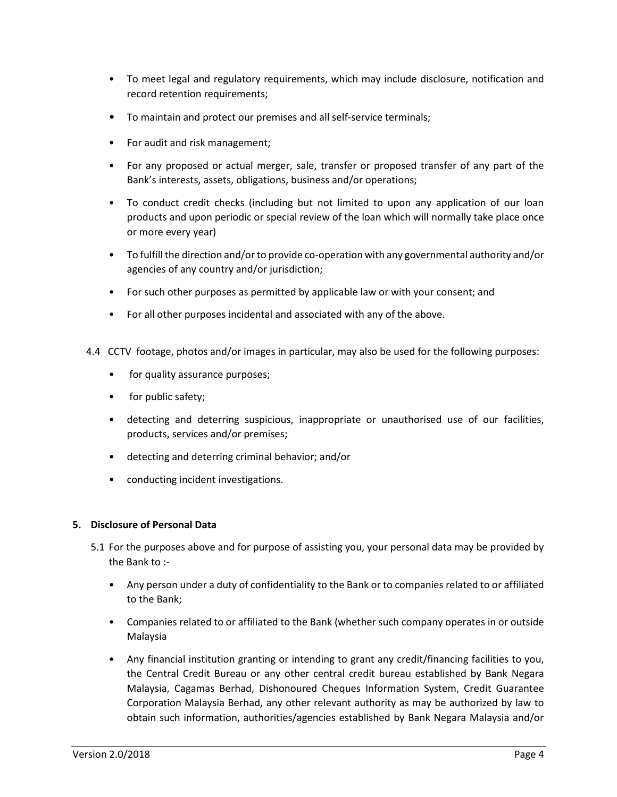- To meet legal and regulatory requirements, which may include disclosure, notification and record retention requirements;
- To maintain and protect our premises and all self-service terminals;
- For audit and risk management;
- For any proposed or actual merger, sale, transfer or proposed transfer of any part of the Bank's interests, assets, obligations, business and/or operations;
- To conduct credit checks (including but not limited to upon any application of our loan products and upon periodic or special review of the loan which will normally take place once or more every year)
- To fulfill the direction and/or to provide co-operation with any governmental authority and/or agencies of any country and/or jurisdiction;
- For such other purposes as permitted by applicable law or with your consent; and
- For all other purposes incidental and associated with any of the above.
- 4.4 CCTV footage, photos and/or images in particular, may also be used for the following purposes:
	- for quality assurance purposes;
	- for public safety;
	- detecting and deterring suspicious, inappropriate or unauthorised use of our facilities, products, services and/or premises;
	- detecting and deterring criminal behavior; and/or
	- conducting incident investigations.

#### **5. Disclosure of Personal Data**

- 5.1 For the purposes above and for purpose of assisting you, your personal data may be provided by the Bank to :-
	- Any person under a duty of confidentiality to the Bank or to companies related to or affiliated to the Bank;
	- Companies related to or affiliated to the Bank (whether such company operates in or outside Malaysia
	- Any financial institution granting or intending to grant any credit/financing facilities to you, the Central Credit Bureau or any other central credit bureau established by Bank Negara Malaysia, Cagamas Berhad, Dishonoured Cheques Information System, Credit Guarantee Corporation Malaysia Berhad, any other relevant authority as may be authorized by law to obtain such information, authorities/agencies established by Bank Negara Malaysia and/or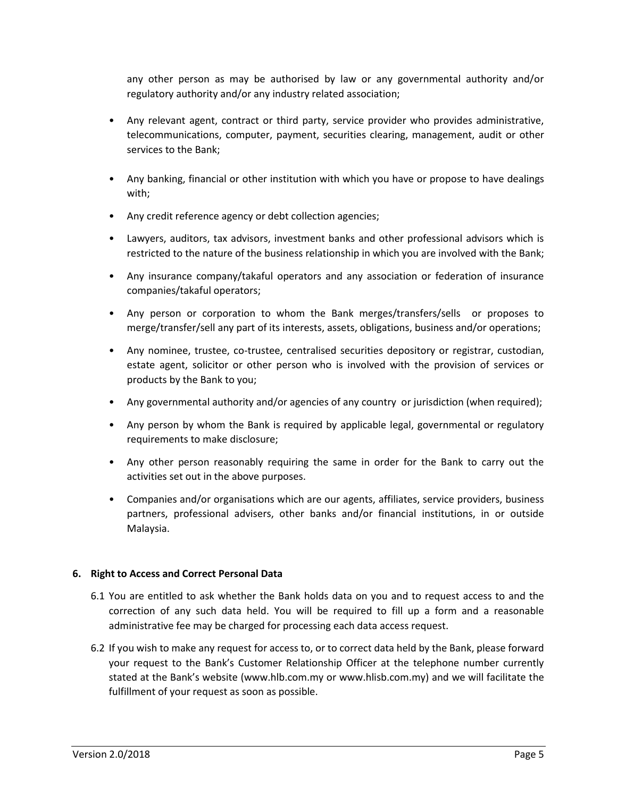any other person as may be authorised by law or any governmental authority and/or regulatory authority and/or any industry related association;

- Any relevant agent, contract or third party, service provider who provides administrative, telecommunications, computer, payment, securities clearing, management, audit or other services to the Bank;
- Any banking, financial or other institution with which you have or propose to have dealings with;
- Any credit reference agency or debt collection agencies;
- Lawyers, auditors, tax advisors, investment banks and other professional advisors which is restricted to the nature of the business relationship in which you are involved with the Bank;
- Any insurance company/takaful operators and any association or federation of insurance companies/takaful operators;
- Any person or corporation to whom the Bank merges/transfers/sells or proposes to merge/transfer/sell any part of its interests, assets, obligations, business and/or operations;
- Any nominee, trustee, co-trustee, centralised securities depository or registrar, custodian, estate agent, solicitor or other person who is involved with the provision of services or products by the Bank to you;
- Any governmental authority and/or agencies of any country or jurisdiction (when required);
- Any person by whom the Bank is required by applicable legal, governmental or regulatory requirements to make disclosure;
- Any other person reasonably requiring the same in order for the Bank to carry out the activities set out in the above purposes.
- Companies and/or organisations which are our agents, affiliates, service providers, business partners, professional advisers, other banks and/or financial institutions, in or outside Malaysia.

#### **6. Right to Access and Correct Personal Data**

- 6.1 You are entitled to ask whether the Bank holds data on you and to request access to and the correction of any such data held. You will be required to fill up a form and a reasonable administrative fee may be charged for processing each data access request.
- 6.2 If you wish to make any request for access to, or to correct data held by the Bank, please forward your request to the Bank's Customer Relationship Officer at the telephone number currently stated at the Bank's website (www.hlb.com.my or www.hlisb.com.my) and we will facilitate the fulfillment of your request as soon as possible.